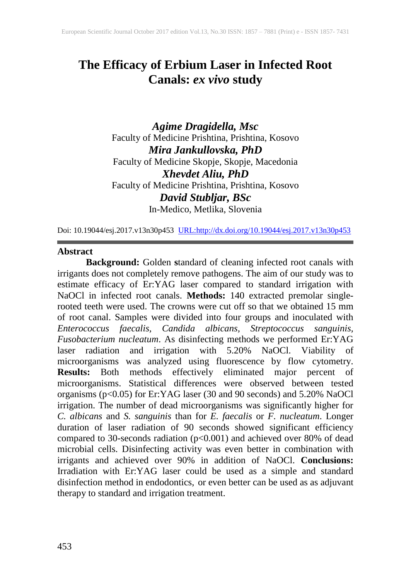# **The Efficacy of Erbium Laser in Infected Root Canals:** *ex vivo* **study**

*Agime Dragidella, Msc* Faculty of Medicine Prishtina, Prishtina, Kosovo *Mira Jankullovska, PhD* Faculty of Medicine Skopje, Skopje, Macedonia *Xhevdet Aliu, PhD* Faculty of Medicine Prishtina, Prishtina, Kosovo *David Stubljar, BSc* In-Medico, Metlika, Slovenia

Doi: 10.19044/esj.2017.v13n30p453 [URL:http://dx.doi.org/10.19044/esj.2017.v13n30p453](http://dx.doi.org/10.19044/esj.2017.v13n30p453)

#### **Abstract**

**Background:** Golden **s**tandard of cleaning infected root canals with irrigants does not completely remove pathogens. The aim of our study was to estimate efficacy of Er:YAG laser compared to standard irrigation with NaOCl in infected root canals. **Methods:** 140 extracted premolar singlerooted teeth were used. The crowns were cut off so that we obtained 15 mm of root canal. Samples were divided into four groups and inoculated with *Enterococcus faecalis, Candida albicans, Streptococcus sanguinis, Fusobacterium nucleatum*. As disinfecting methods we performed Er:YAG laser radiation and irrigation with 5.20% NaOCl. Viability of microorganisms was analyzed using fluorescence by flow cytometry. **Results:** Both methods effectively eliminated major percent of microorganisms. Statistical differences were observed between tested organisms (p<0.05) for Er:YAG laser (30 and 90 seconds) and 5.20% NaOCl irrigation. The number of dead microorganisms was significantly higher for *C. albicans* and *S. sanguinis* than for *E. faecalis* or *F. nucleatum*. Longer duration of laser radiation of 90 seconds showed significant efficiency compared to 30-seconds radiation (p<0.001) and achieved over 80% of dead microbial cells. Disinfecting activity was even better in combination with irrigants and achieved over 90% in addition of NaOCl. **Conclusions:**  Irradiation with Er:YAG laser could be used as a simple and standard disinfection method in endodontics, or even better can be used as as adjuvant therapy to standard and irrigation treatment.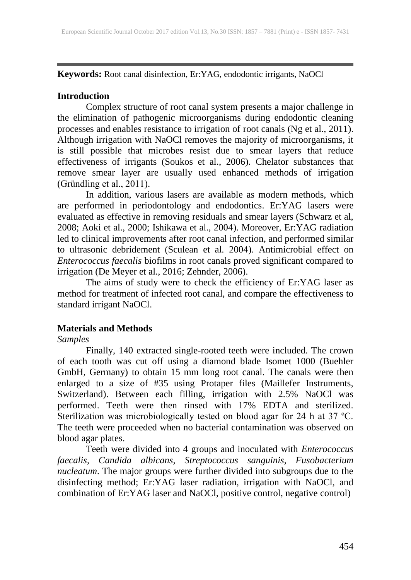**Keywords:** Root canal disinfection, Er:YAG, endodontic irrigants, NaOCl

# **Introduction**

Complex structure of root canal system presents a major challenge in the elimination of pathogenic microorganisms during endodontic cleaning processes and enables resistance to irrigation of root canals (Ng et al., 2011). Although irrigation with NaOCl removes the majority of microorganisms, it is still possible that microbes resist due to smear layers that reduce effectiveness of irrigants (Soukos et al., 2006). Chelator substances that remove smear layer are usually used enhanced methods of irrigation (Gründling et al., 2011).

In addition, various lasers are available as modern methods, which are performed in periodontology and endodontics. Er:YAG lasers were evaluated as effective in removing residuals and smear layers (Schwarz et al, 2008; Aoki et al., 2000; Ishikawa et al., 2004). Moreover, Er:YAG radiation led to clinical improvements after root canal infection, and performed similar to ultrasonic debridement (Sculean et al. 2004). Antimicrobial effect on *Enterococcus faecalis* biofilms in root canals proved significant compared to irrigation (De Meyer et al., 2016; Zehnder, 2006).

The aims of study were to check the efficiency of Er:YAG laser as method for treatment of infected root canal, and compare the effectiveness to standard irrigant NaOCl.

# **Materials and Methods**

## *Samples*

Finally, 140 extracted single-rooted teeth were included. The crown of each tooth was cut off using a diamond blade Isomet 1000 (Buehler GmbH, Germany) to obtain 15 mm long root canal. The canals were then enlarged to a size of #35 using Protaper files (Maillefer Instruments, Switzerland). Between each filling, irrigation with 2.5% NaOCl was performed. Teeth were then rinsed with 17% EDTA and sterilized. Sterilization was microbiologically tested on blood agar for 24 h at 37 ºC. The teeth were proceeded when no bacterial contamination was observed on blood agar plates.

Teeth were divided into 4 groups and inoculated with *Enterococcus faecalis, Candida albicans, Streptococcus sanguinis, Fusobacterium nucleatum*. The major groups were further divided into subgroups due to the disinfecting method; Er:YAG laser radiation, irrigation with NaOCl, and combination of Er:YAG laser and NaOCl, positive control, negative control)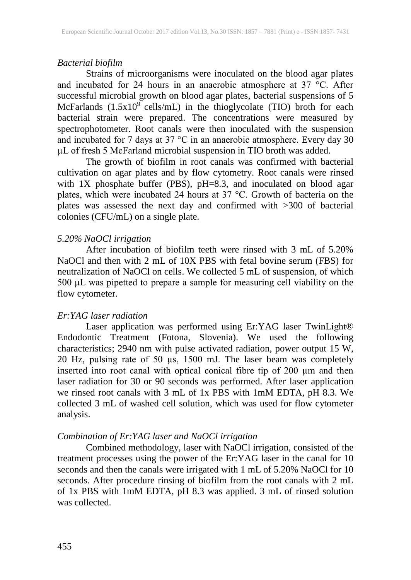#### *Bacterial biofilm*

Strains of microorganisms were inoculated on the blood agar plates and incubated for 24 hours in an anaerobic atmosphere at 37 °C. After successful microbial growth on blood agar plates, bacterial suspensions of 5 McFarlands  $(1.5x10<sup>9</sup>$  cells/mL) in the thioglycolate (TIO) broth for each bacterial strain were prepared. The concentrations were measured by spectrophotometer. Root canals were then inoculated with the suspension and incubated for 7 days at 37 °C in an anaerobic atmosphere. Every day 30 µL of fresh 5 McFarland microbial suspension in TIO broth was added.

The growth of biofilm in root canals was confirmed with bacterial cultivation on agar plates and by flow cytometry. Root canals were rinsed with  $1X$  phosphate buffer (PBS),  $pH=8.3$ , and inoculated on blood agar plates, which were incubated 24 hours at 37 °C. Growth of bacteria on the plates was assessed the next day and confirmed with >300 of bacterial colonies (CFU/mL) on a single plate.

## *5.20% NaOCl irrigation*

After incubation of biofilm teeth were rinsed with 3 mL of 5.20% NaOCl and then with 2 mL of 10X PBS with fetal bovine serum (FBS) for neutralization of NaOCl on cells. We collected 5 mL of suspension, of which 500 μL was pipetted to prepare a sample for measuring cell viability on the flow cytometer.

## *Er:YAG laser radiation*

Laser application was performed using Er:YAG laser TwinLight® Endodontic Treatment (Fotona, Slovenia). We used the following characteristics; 2940 nm with pulse activated radiation, power output 15 W, 20 Hz, pulsing rate of 50 µs, 1500 mJ. The laser beam was completely inserted into root canal with optical conical fibre tip of 200 µm and then laser radiation for 30 or 90 seconds was performed. After laser application we rinsed root canals with 3 mL of 1x PBS with 1mM EDTA, pH 8.3. We collected 3 mL of washed cell solution, which was used for flow cytometer analysis.

## *Combination of Er:YAG laser and NaOCl irrigation*

Combined methodology, laser with NaOCl irrigation, consisted of the treatment processes using the power of the Er:YAG laser in the canal for 10 seconds and then the canals were irrigated with 1 mL of 5.20% NaOCl for 10 seconds. After procedure rinsing of biofilm from the root canals with 2 mL of 1x PBS with 1mM EDTA, pH 8.3 was applied. 3 mL of rinsed solution was collected.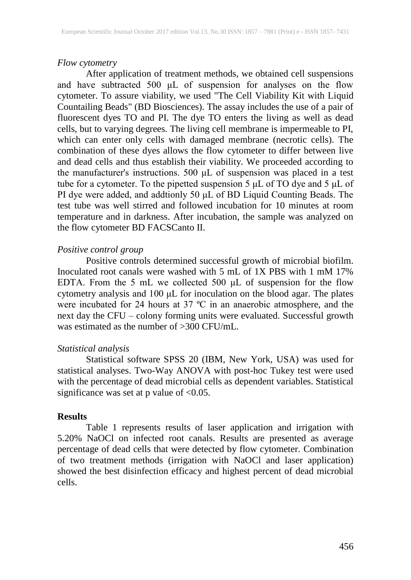## *Flow cytometry*

After application of treatment methods, we obtained cell suspensions and have subtracted 500 μL of suspension for analyses on the flow cytometer. To assure viability, we used "The Cell Viability Kit with Liquid Countailing Beads" (BD Biosciences). The assay includes the use of a pair of fluorescent dyes TO and PI. The dye TO enters the living as well as dead cells, but to varying degrees. The living cell membrane is impermeable to PI, which can enter only cells with damaged membrane (necrotic cells). The combination of these dyes allows the flow cytometer to differ between live and dead cells and thus establish their viability. We proceeded according to the manufacturer's instructions. 500 μL of suspension was placed in a test tube for a cytometer. To the pipetted suspension 5 μL of TO dye and 5 μL of PI dye were added, and addtionly 50 μL of BD Liquid Counting Beads. The test tube was well stirred and followed incubation for 10 minutes at room temperature and in darkness. After incubation, the sample was analyzed on the flow cytometer BD FACSCanto II.

## *Positive control group*

Positive controls determined successful growth of microbial biofilm. Inoculated root canals were washed with 5 mL of 1X PBS with 1 mM 17% EDTA. From the 5 mL we collected 500 μL of suspension for the flow cytometry analysis and 100 μL for inoculation on the blood agar. The plates were incubated for 24 hours at 37 ºC in an anaerobic atmosphere, and the next day the CFU – colony forming units were evaluated. Successful growth was estimated as the number of >300 CFU/mL.

## *Statistical analysis*

Statistical software SPSS 20 (IBM, New York, USA) was used for statistical analyses. Two-Way ANOVA with post-hoc Tukey test were used with the percentage of dead microbial cells as dependent variables. Statistical significance was set at p value of  $< 0.05$ .

## **Results**

Table 1 represents results of laser application and irrigation with 5.20% NaOCl on infected root canals. Results are presented as average percentage of dead cells that were detected by flow cytometer. Combination of two treatment methods (irrigation with NaOCl and laser application) showed the best disinfection efficacy and highest percent of dead microbial cells.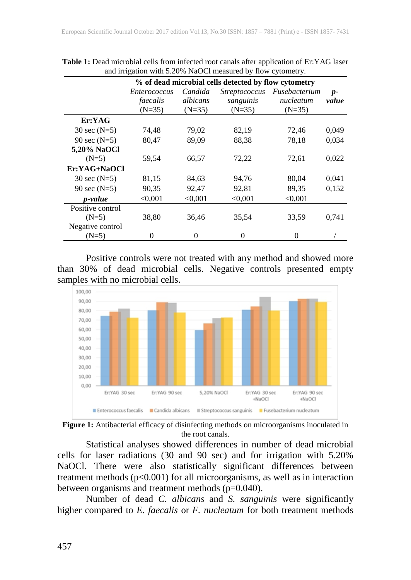|                  | % of dead microbial cells detected by flow cytometry |          |                      |               |       |
|------------------|------------------------------------------------------|----------|----------------------|---------------|-------|
|                  | <i>Enterococcus</i>                                  | Candida  | <i>Streptococcus</i> | Fusebacterium | $p-$  |
|                  | faecalis                                             | albicans | sanguinis            | nucleatum     | value |
|                  | $(N=35)$                                             | $(N=35)$ | $(N=35)$             | $(N=35)$      |       |
| Er:YAG           |                                                      |          |                      |               |       |
| 30 sec $(N=5)$   | 74,48                                                | 79,02    | 82,19                | 72,46         | 0,049 |
| 90 sec $(N=5)$   | 80,47                                                | 89,09    | 88,38                | 78,18         | 0,034 |
| 5,20% NaOCl      |                                                      |          |                      |               |       |
| $(N=5)$          | 59,54                                                | 66,57    | 72,22                | 72,61         | 0,022 |
| Er:YAG+NaOCl     |                                                      |          |                      |               |       |
| 30 sec $(N=5)$   | 81,15                                                | 84,63    | 94,76                | 80,04         | 0,041 |
| 90 sec $(N=5)$   | 90,35                                                | 92,47    | 92,81                | 89,35         | 0,152 |
| p-value          | < 0.001                                              | < 0.001  | < 0.001              | < 0.001       |       |
| Positive control |                                                      |          |                      |               |       |
| $(N=5)$          | 38,80                                                | 36,46    | 35,54                | 33,59         | 0,741 |
| Negative control |                                                      |          |                      |               |       |
| $(N=5)$          | 0                                                    | 0        | 0                    | ∩             |       |

**Table 1:** Dead microbial cells from infected root canals after application of Er:YAG laser and irrigation with 5.20% NaOCl measured by flow cytometry.

Positive controls were not treated with any method and showed more than 30% of dead microbial cells. Negative controls presented empty samples with no microbial cells.





Statistical analyses showed differences in number of dead microbial cells for laser radiations (30 and 90 sec) and for irrigation with 5.20% NaOCl. There were also statistically significant differences between treatment methods  $(p<0.001)$  for all microorganisms, as well as in interaction between organisms and treatment methods  $(p=0.040)$ .

Number of dead *C. albicans* and *S. sanguinis* were significantly higher compared to *E. faecalis* or *F. nucleatum* for both treatment methods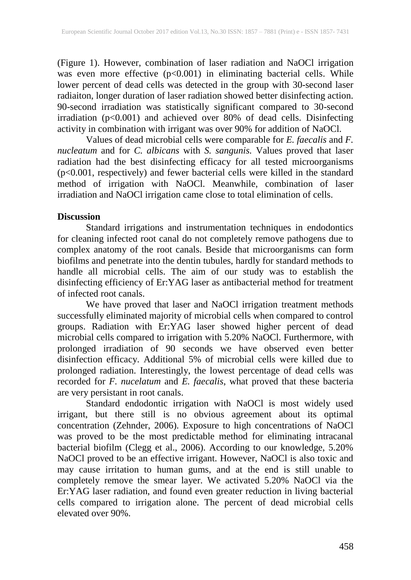(Figure 1). However, combination of laser radiation and NaOCl irrigation was even more effective (p<0.001) in eliminating bacterial cells. While lower percent of dead cells was detected in the group with 30-second laser radiaiton, longer duration of laser radiation showed better disinfecting action. 90-second irradiation was statistically significant compared to 30-second irradiation (p<0.001) and achieved over 80% of dead cells. Disinfecting activity in combination with irrigant was over 90% for addition of NaOCl.

Values of dead microbial cells were comparable for *E. faecalis* and *F. nucleatum* and for *C. albicans* with *S. sangunis.* Values proved that laser radiation had the best disinfecting efficacy for all tested microorganisms (p<0.001, respectively) and fewer bacterial cells were killed in the standard method of irrigation with NaOCl. Meanwhile, combination of laser irradiation and NaOCl irrigation came close to total elimination of cells.

## **Discussion**

Standard irrigations and instrumentation techniques in endodontics for cleaning infected root canal do not completely remove pathogens due to complex anatomy of the root canals. Beside that microorganisms can form biofilms and penetrate into the dentin tubules, hardly for standard methods to handle all microbial cells. The aim of our study was to establish the disinfecting efficiency of Er:YAG laser as antibacterial method for treatment of infected root canals.

We have proved that laser and NaOCl irrigation treatment methods successfully eliminated majority of microbial cells when compared to control groups. Radiation with Er:YAG laser showed higher percent of dead microbial cells compared to irrigation with 5.20% NaOCl. Furthermore, with prolonged irradiation of 90 seconds we have observed even better disinfection efficacy. Additional 5% of microbial cells were killed due to prolonged radiation. Interestingly, the lowest percentage of dead cells was recorded for *F. nucelatum* and *E. faecalis*, what proved that these bacteria are very persistant in root canals.

Standard endodontic irrigation with NaOCl is most widely used irrigant, but there still is no obvious agreement about its optimal concentration (Zehnder, 2006). Exposure to high concentrations of NaOCl was proved to be the most predictable method for eliminating intracanal bacterial biofilm (Clegg et al., 2006). According to our knowledge, 5.20% NaOCl proved to be an effective irrigant. However, NaOCl is also toxic and may cause irritation to human gums, and at the end is still unable to completely remove the smear layer. We activated 5.20% NaOCl via the Er:YAG laser radiation, and found even greater reduction in living bacterial cells compared to irrigation alone. The percent of dead microbial cells elevated over 90%.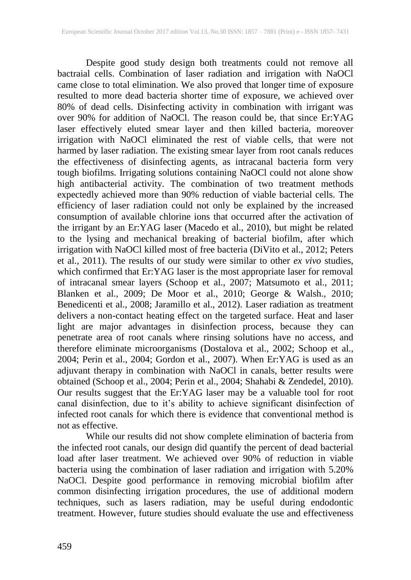Despite good study design both treatments could not remove all bactraial cells. Combination of laser radiation and irrigation with NaOCl came close to total elimination. We also proved that longer time of exposure resulted to more dead bacteria shorter time of exposure, we achieved over 80% of dead cells. Disinfecting activity in combination with irrigant was over 90% for addition of NaOCl. The reason could be, that since Er:YAG laser effectively eluted smear layer and then killed bacteria, moreover irrigation with NaOCl eliminated the rest of viable cells, that were not harmed by laser radiation. The existing smear layer from root canals reduces the effectiveness of disinfecting agents, as intracanal bacteria form very tough biofilms. Irrigating solutions containing NaOCl could not alone show high antibacterial activity. The combination of two treatment methods expectedly achieved more than 90% reduction of viable bacterial cells. The efficiency of laser radiation could not only be explained by the increased consumption of available chlorine ions that occurred after the activation of the irrigant by an Er:YAG laser (Macedo et al., 2010), but might be related to the lysing and mechanical breaking of bacterial biofilm, after which irrigation with NaOCl killed most of free bacteria (DiVito et al., 2012; Peters et al., 2011). The results of our study were similar to other *ex vivo* studies, which confirmed that Er:YAG laser is the most appropriate laser for removal of intracanal smear layers (Schoop et al., 2007; Matsumoto et al., 2011; Blanken et al., 2009; De Moor et al., 2010; George & Walsh., 2010; Benedicenti et al., 2008; Jaramillo et al., 2012). Laser radiation as treatment delivers a non-contact heating effect on the targeted surface. Heat and laser light are major advantages in disinfection process, because they can penetrate area of root canals where rinsing solutions have no access, and therefore eliminate microorganisms (Dostalova et al., 2002; Schoop et al., 2004; Perin et al., 2004; Gordon et al., 2007). When Er:YAG is used as an adjuvant therapy in combination with NaOCl in canals, better results were obtained (Schoop et al., 2004; Perin et al., 2004; Shahabi & Zendedel, 2010). Our results suggest that the Er:YAG laser may be a valuable tool for root canal disinfection, due to it's ability to achieve significant disinfection of infected root canals for which there is evidence that conventional method is not as effective.

While our results did not show complete elimination of bacteria from the infected root canals, our design did quantify the percent of dead bacterial load after laser treatment. We achieved over 90% of reduction in viable bacteria using the combination of laser radiation and irrigation with 5.20% NaOCl. Despite good performance in removing microbial biofilm after common disinfecting irrigation procedures, the use of additional modern techniques, such as lasers radiation, may be useful during endodontic treatment. However, future studies should evaluate the use and effectiveness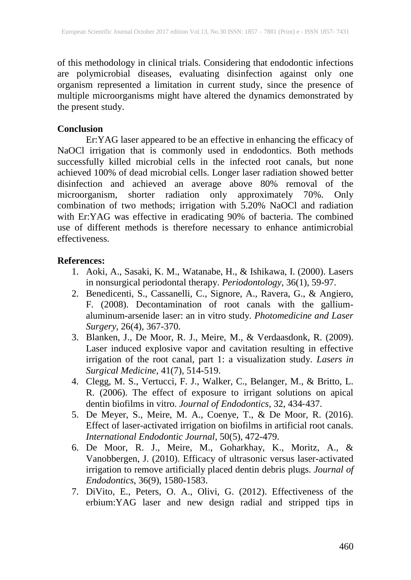of this methodology in clinical trials. Considering that endodontic infections are polymicrobial diseases, evaluating disinfection against only one organism represented a limitation in current study, since the presence of multiple microorganisms might have altered the dynamics demonstrated by the present study.

# **Conclusion**

Er:YAG laser appeared to be an effective in enhancing the efficacy of NaOCl irrigation that is commonly used in endodontics. Both methods successfully killed microbial cells in the infected root canals, but none achieved 100% of dead microbial cells. Longer laser radiation showed better disinfection and achieved an average above 80% removal of the microorganism, shorter radiation only approximately 70%. Only combination of two methods; irrigation with 5.20% NaOCl and radiation with Er:YAG was effective in eradicating 90% of bacteria. The combined use of different methods is therefore necessary to enhance antimicrobial effectiveness.

## **References:**

- 1. Aoki, A., Sasaki, K. M., Watanabe, H., & Ishikawa, I. (2000). Lasers in nonsurgical periodontal therapy. *Periodontology*, 36(1), 59-97.
- 2. Benedicenti, S., Cassanelli, C., Signore, A., Ravera, G., & Angiero, F. (2008). Decontamination of root canals with the galliumaluminum-arsenide laser: an in vitro study. *Photomedicine and Laser Surgery*, 26(4), 367-370.
- 3. Blanken, J., De Moor, R. J., Meire, M., & Verdaasdonk, R. (2009). Laser induced explosive vapor and cavitation resulting in effective irrigation of the root canal, part 1: a visualization study. *Lasers in Surgical Medicine*, 41(7), 514-519.
- 4. Clegg, M. S., Vertucci, F. J., Walker, C., Belanger, M., & Britto, L. R. (2006). The effect of exposure to irrigant solutions on apical dentin biofilms in vitro. *Journal of Endodontics*, 32, 434‐437.
- 5. De Meyer, S., Meire, M. A., Coenye, T., & De Moor, R. (2016). Effect of laser-activated irrigation on biofilms in artificial root canals. *International Endodontic Journal*, 50(5), 472-479.
- 6. De Moor, R. J., Meire, M., Goharkhay, K., Moritz, A., & Vanobbergen, J. (2010). Efficacy of ultrasonic versus laser-activated irrigation to remove artificially placed dentin debris plugs. *Journal of Endodontics*, 36(9), 1580-1583.
- 7. DiVito, E., Peters, O. A., Olivi, G. (2012). Effectiveness of the erbium:YAG laser and new design radial and stripped tips in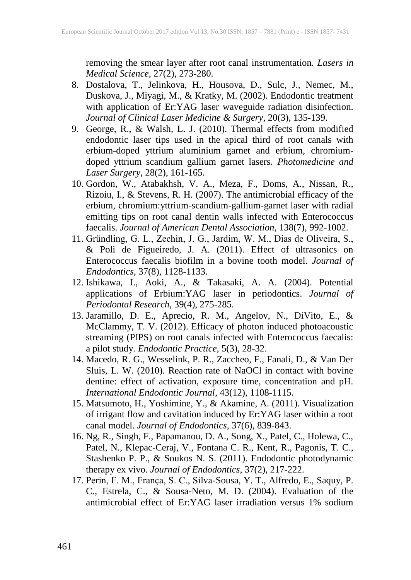removing the smear layer after root canal instrumentation. *Lasers in Medical Science*, 27(2), 273-280.

- 8. Dostalova, T., Jelinkova, H., Housova, D., Sulc, J., Nemec, M., Duskova, J., Miyagi, M., & Kratky, M. (2002). Endodontic treatment with application of Er:YAG laser waveguide radiation disinfection. *Journal of Clinical Laser Medicine & Surgery*, 20(3), 135-139.
- 9. George, R., & Walsh, L. J. (2010). Thermal effects from modified endodontic laser tips used in the apical third of root canals with erbium-doped yttrium aluminium garnet and erbium, chromiumdoped yttrium scandium gallium garnet lasers. *Photomedicine and Laser Surgery*, 28(2), 161-165.
- 10. Gordon, W., Atabakhsh, V. A., Meza, F., Doms, A., Nissan, R., Rizoiu, I., & Stevens, R. H. (2007). The antimicrobial efficacy of the erbium, chromium:yttrium-scandium-gallium-garnet laser with radial emitting tips on root canal dentin walls infected with Enterococcus faecalis. *Journal of American Dental Association*, 138(7), 992-1002.
- 11. Gründling, G. L., Zechin, J. G., Jardim, W. M., Dias de Oliveira, S., & Poli de Figueiredo, J. A. (2011). Effect of ultrasonics on Enterococcus faecalis biofilm in a bovine tooth model. *Journal of Endodontics*, 37(8), 1128-1133.
- 12. Ishikawa, I., Aoki, A., & Takasaki, A. A. (2004). Potential applications of Erbium:YAG laser in periodontics. *Journal of Periodontal Research*, 39(4), 275-285.
- 13. Jaramillo, D. E., Aprecio, R. M., Angelov, N., DiVito, E., & McClammy, T. V. (2012). Efficacy of photon induced photoacoustic streaming (PIPS) on root canals infected with Enterococcus faecalis: a pilot study. *Endodontic Practice*, 5(3), 28-32.
- 14. Macedo, R. G., Wesselink, P. R., Zaccheo, F., Fanali, D., & Van Der Sluis, L. W. (2010). Reaction rate of NaOCl in contact with bovine dentine: effect of activation, exposure time, concentration and pH. *International Endodontic Journal*, 43(12), 1108-1115.
- 15. Matsumoto, H., Yoshimine, Y., & Akamine, A. (2011). Visualization of irrigant flow and cavitation induced by Er:YAG laser within a root canal model. *Journal of Endodontics*, 37(6), 839-843.
- 16. Ng, R., Singh, F., Papamanou, D. A., Song, X., Patel, C., Holewa, C., Patel, N., Klepac-Ceraj, V., Fontana C. R., Kent, R., Pagonis, T. C., Stashenko P. P., & Soukos N. S. (2011). Endodontic photodynamic therapy ex vivo. *Journal of Endodontics*, 37(2), 217-222.
- 17. Perin, F. M., França, S. C., Silva-Sousa, Y. T., Alfredo, E., Saquy, P. C., Estrela, C., & Sousa-Neto, M. D. (2004). Evaluation of the antimicrobial effect of Er:YAG laser irradiation versus 1% sodium